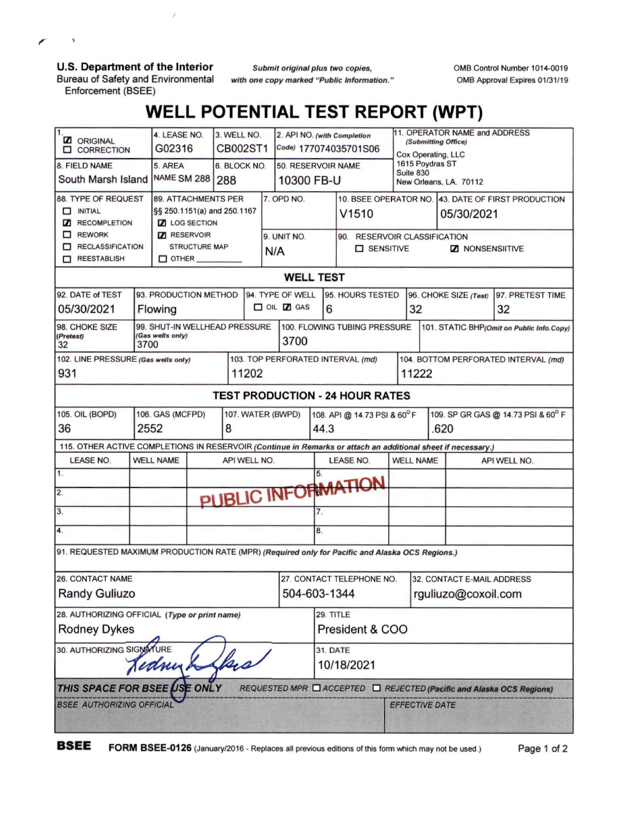**U.S. Department of the Interior**

r

 $\sim$   $\sim$ 

Bureau of Safety and Environmental Enforcement (BSEE)

*Submit original plus two copies, with one copy marked ''Public Information.'* OMB Control Number 1014-0019 OMB Approval Expires 01/31/19

## **WELL POTENTIAL TEST REPORT (WPT)**

| 11.<br><b>Z</b> ORIGINAL<br><b>O CORRECTION</b>                                                              |                                       | 4. LEASE NO.<br>G02316               |              | 3. WELL NO.<br>CB002ST1 |                                   |                              | 2. API NO. (with Completion<br>Code) 177074035701S06 |                  |                                                    |                              |                        | 11. OPERATOR NAME and ADDRESS<br>(Submitting Office)<br>Cox Operating, LLC |                                    |    |                  |
|--------------------------------------------------------------------------------------------------------------|---------------------------------------|--------------------------------------|--------------|-------------------------|-----------------------------------|------------------------------|------------------------------------------------------|------------------|----------------------------------------------------|------------------------------|------------------------|----------------------------------------------------------------------------|------------------------------------|----|------------------|
| 8. FIELD NAME                                                                                                |                                       | 5. AREA                              | 6. BLOCK NO. |                         |                                   | 50. RESERVOIR NAME           |                                                      |                  |                                                    | 1615 Poydras ST<br>Suite 830 |                        |                                                                            |                                    |    |                  |
| South Marsh Island                                                                                           | <b>NAME SM 288</b><br>288             |                                      |              |                         | 10300 FB-U                        |                              |                                                      |                  |                                                    |                              | New Orleans, LA. 70112 |                                                                            |                                    |    |                  |
| 88. TYPE OF REQUEST                                                                                          | <b>89. ATTACHMENTS PER</b>            |                                      |              |                         |                                   | 7. OPD NO.                   |                                                      |                  | 10. BSEE OPERATOR NO. 43. DATE OF FIRST PRODUCTION |                              |                        |                                                                            |                                    |    |                  |
| $\Box$ INITIAL                                                                                               | §§ 250.1151(a) and 250.1167           |                                      |              |                         |                                   |                              |                                                      |                  | V <sub>1510</sub>                                  |                              | 05/30/2021             |                                                                            |                                    |    |                  |
| RECOMPLETION                                                                                                 | <b>Z</b> LOG SECTION                  |                                      |              |                         |                                   |                              |                                                      |                  |                                                    |                              |                        |                                                                            |                                    |    |                  |
| $\Box$ REWORK                                                                                                |                                       | <b>7</b> RESERVOIR                   |              |                         |                                   | 9. UNIT NO.                  |                                                      |                  |                                                    |                              |                        | 90. RESERVOIR CLASSIFICATION                                               |                                    |    |                  |
| RECLASSIFICATION<br>REESTABLISH                                                                              |                                       | <b>STRUCTURE MAP</b><br>$\Box$ OTHER |              |                         |                                   | N/A                          |                                                      |                  | SENSITIVE<br><b>Z</b> NONSENSIITIVE                |                              |                        |                                                                            |                                    |    |                  |
|                                                                                                              |                                       |                                      |              |                         |                                   |                              |                                                      |                  |                                                    |                              |                        |                                                                            |                                    |    |                  |
| <b>WELL TEST</b>                                                                                             |                                       |                                      |              |                         |                                   |                              |                                                      |                  |                                                    |                              |                        |                                                                            |                                    |    |                  |
| 92. DATE of TEST                                                                                             | 93. PRODUCTION METHOD                 |                                      |              |                         |                                   | 94. TYPE OF WELL             |                                                      |                  |                                                    | 95. HOURS TESTED             |                        | 96. CHOKE SIZE (Test)                                                      |                                    |    | 97. PRETEST TIME |
| 05/30/2021                                                                                                   | Flowing                               |                                      |              |                         |                                   |                              | $\Box$ OIL $\Box$ GAS                                |                  | 6                                                  |                              |                        | 32                                                                         |                                    | 32 |                  |
| 98. CHOKE SIZE                                                                                               | 99. SHUT-IN WELLHEAD PRESSURE         |                                      |              |                         |                                   | 100. FLOWING TUBING PRESSURE |                                                      |                  | 101. STATIC BHP(Omit on Public Info.Copy)          |                              |                        |                                                                            |                                    |    |                  |
| (Gas wells only)<br>(Pretest)<br>3700<br>32                                                                  |                                       |                                      |              |                         |                                   | 3700                         |                                                      |                  |                                                    |                              |                        |                                                                            |                                    |    |                  |
| 102. LINE PRESSURE (Gas wells only)                                                                          |                                       |                                      |              |                         | 103. TOP PERFORATED INTERVAL (md) |                              |                                                      |                  |                                                    |                              |                        | 104. BOTTOM PERFORATED INTERVAL (md)                                       |                                    |    |                  |
| 931                                                                                                          |                                       |                                      |              |                         | 11202                             |                              |                                                      |                  |                                                    |                              |                        | 11222                                                                      |                                    |    |                  |
| <b>TEST PRODUCTION - 24 HOUR RATES</b>                                                                       |                                       |                                      |              |                         |                                   |                              |                                                      |                  |                                                    |                              |                        |                                                                            |                                    |    |                  |
| <b>105. OIL (BOPD)</b>                                                                                       | 106. GAS (MCFPD)<br>107. WATER (BWPD) |                                      |              |                         |                                   |                              |                                                      |                  |                                                    | 108. API @ 14.73 PSI & 60°F  |                        |                                                                            | 109. SP GR GAS @ 14.73 PSI & 60° F |    |                  |
| 2552<br>36                                                                                                   |                                       |                                      |              |                         | 8                                 |                              |                                                      |                  | 44.3                                               |                              |                        | .620                                                                       |                                    |    |                  |
| 115. OTHER ACTIVE COMPLETIONS IN RESERVOIR (Continue in Remarks or attach an additional sheet if necessary.) |                                       |                                      |              |                         |                                   |                              |                                                      |                  |                                                    |                              |                        |                                                                            |                                    |    |                  |
| LEASE NO.                                                                                                    |                                       | <b>WELL NAME</b>                     | API WELL NO. |                         |                                   |                              |                                                      | <b>LEASE NO.</b> |                                                    | <b>WELL NAME</b>             |                        |                                                                            | API WELL NO.                       |    |                  |
| $\overline{1}$ .                                                                                             |                                       | 5.                                   |              |                         |                                   |                              |                                                      |                  |                                                    |                              |                        |                                                                            |                                    |    |                  |
| $\overline{2}$ .                                                                                             | PUBLIC INFORMATION                    |                                      |              |                         |                                   |                              |                                                      |                  |                                                    |                              |                        |                                                                            |                                    |    |                  |
| 3.                                                                                                           |                                       |                                      |              |                         |                                   |                              | 7.                                                   |                  |                                                    |                              |                        |                                                                            |                                    |    |                  |
| 4.                                                                                                           |                                       |                                      |              |                         |                                   |                              | 8.                                                   |                  |                                                    |                              |                        |                                                                            |                                    |    |                  |
| 91. REQUESTED MAXIMUM PRODUCTION RATE (MPR) (Required only for Pacific and Alaska OCS Regions.)              |                                       |                                      |              |                         |                                   |                              |                                                      |                  |                                                    |                              |                        |                                                                            |                                    |    |                  |
| <b>26. CONTACT NAME</b>                                                                                      |                                       |                                      |              |                         |                                   |                              |                                                      |                  | 27. CONTACT TELEPHONE NO.                          |                              |                        |                                                                            | 32. CONTACT E-MAIL ADDRESS         |    |                  |
| <b>Randy Guliuzo</b>                                                                                         |                                       |                                      |              |                         |                                   |                              |                                                      | 504-603-1344     |                                                    |                              |                        | rguliuzo@coxoil.com                                                        |                                    |    |                  |
| 28. AUTHORIZING OFFICIAL (Type or print name)                                                                |                                       |                                      |              |                         |                                   |                              |                                                      |                  | 29. TITLE                                          |                              |                        |                                                                            |                                    |    |                  |
| <b>Rodney Dykes</b>                                                                                          |                                       |                                      |              |                         |                                   |                              |                                                      |                  | President & COO                                    |                              |                        |                                                                            |                                    |    |                  |
| 30. AUTHORIZING SIGNATURE                                                                                    |                                       |                                      |              |                         |                                   |                              |                                                      |                  | 31. DATE                                           |                              |                        |                                                                            |                                    |    |                  |
| flace<br>Jednish                                                                                             |                                       |                                      |              |                         |                                   |                              |                                                      |                  | 10/18/2021                                         |                              |                        |                                                                            |                                    |    |                  |
| THIS SPACE FOR BSEE USE ONLY<br>REQUESTED MPR □ ACCEPTED □ REJECTED (Pacific and Alaska OCS Regions)         |                                       |                                      |              |                         |                                   |                              |                                                      |                  |                                                    |                              |                        |                                                                            |                                    |    |                  |
| <b>BSEE AUTHORIZING OFFICIAL</b>                                                                             |                                       |                                      |              |                         |                                   |                              |                                                      |                  |                                                    |                              | <b>EFFECTIVE DATE</b>  |                                                                            |                                    |    |                  |